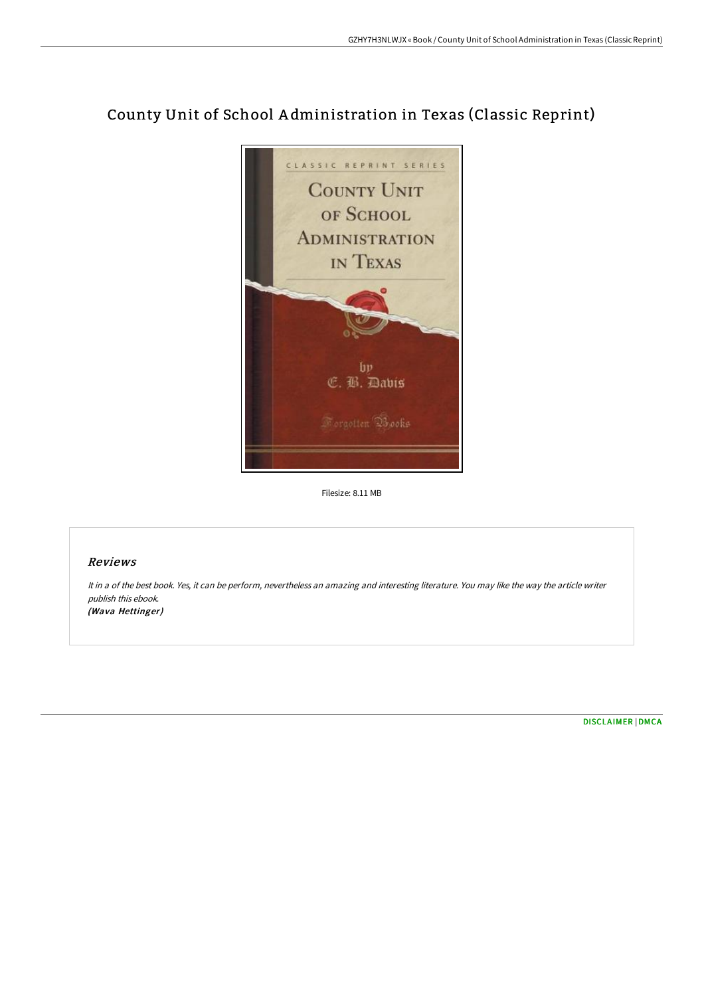

# County Unit of School A dministration in Texas (Classic Reprint)

Filesize: 8.11 MB

 $bp$ C. B. Davis

#### Reviews

It in <sup>a</sup> of the best book. Yes, it can be perform, nevertheless an amazing and interesting literature. You may like the way the article writer publish this ebook. (Wava Hettinger)

[DISCLAIMER](http://techno-pub.tech/disclaimer.html) | [DMCA](http://techno-pub.tech/dmca.html)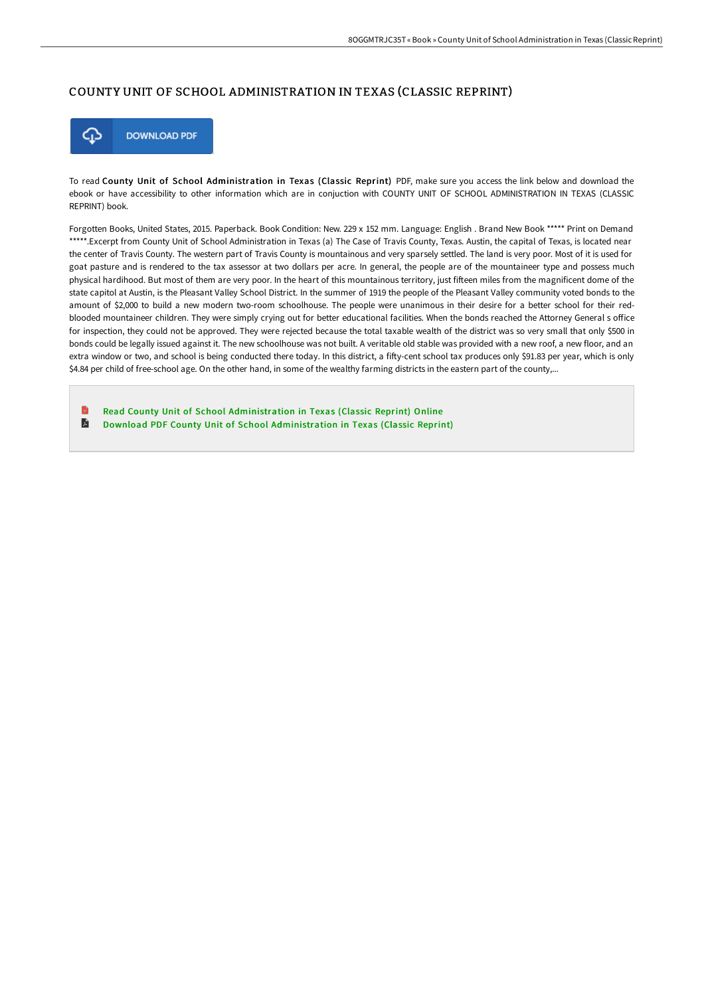### COUNTY UNIT OF SCHOOL ADMINISTRATION IN TEXAS (CLASSIC REPRINT)



To read County Unit of School Administration in Texas (Classic Reprint) PDF, make sure you access the link below and download the ebook or have accessibility to other information which are in conjuction with COUNTY UNIT OF SCHOOL ADMINISTRATION IN TEXAS (CLASSIC REPRINT) book.

Forgotten Books, United States, 2015. Paperback. Book Condition: New. 229 x 152 mm. Language: English . Brand New Book \*\*\*\*\* Print on Demand \*\*\*\*\*.Excerpt from County Unit of School Administration in Texas (a) The Case of Travis County, Texas. Austin, the capital of Texas, is located near the center of Travis County. The western part of Travis County is mountainous and very sparsely settled. The land is very poor. Most of it is used for goat pasture and is rendered to the tax assessor at two dollars per acre. In general, the people are of the mountaineer type and possess much physical hardihood. But most of them are very poor. In the heart of this mountainous territory, just fifteen miles from the magnificent dome of the state capitol at Austin, is the Pleasant Valley School District. In the summer of 1919 the people of the Pleasant Valley community voted bonds to the amount of \$2,000 to build a new modern two-room schoolhouse. The people were unanimous in their desire for a better school for their redblooded mountaineer children. They were simply crying out for better educational facilities. When the bonds reached the Attorney General s office for inspection, they could not be approved. They were rejected because the total taxable wealth of the district was so very small that only \$500 in bonds could be legally issued against it. The new schoolhouse was not built. A veritable old stable was provided with a new roof, a new floor, and an extra window or two, and school is being conducted there today. In this district, a fifty-cent school tax produces only \$91.83 per year, which is only \$4.84 per child of free-school age. On the other hand, in some of the wealthy farming districts in the eastern part of the county,...

Read County Unit of School [Administration](http://techno-pub.tech/county-unit-of-school-administration-in-texas-cl.html) in Texas (Classic Reprint) Online  $\blacksquare$ Download PDF County Unit of School [Administration](http://techno-pub.tech/county-unit-of-school-administration-in-texas-cl.html) in Texas (Classic Reprint)